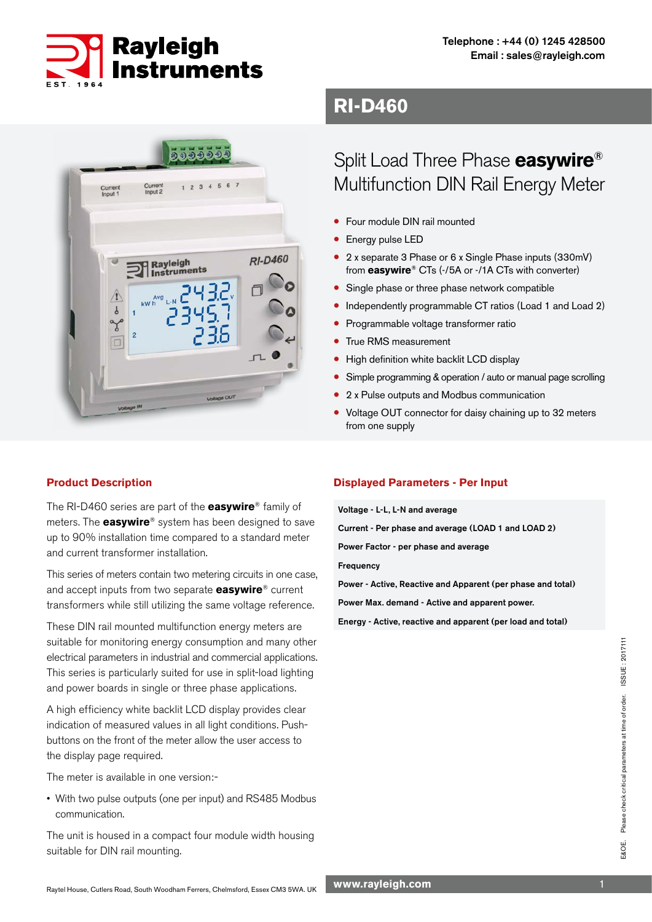



## **Product Description**

The RI-D460 series are part of the **easywire**® family of meters. The **easywire**® system has been designed to save up to 90% installation time compared to a standard meter and current transformer installation.

This series of meters contain two metering circuits in one case, and accept inputs from two separate **easywire**® current transformers while still utilizing the same voltage reference.

These DIN rail mounted multifunction energy meters are suitable for monitoring energy consumption and many other electrical parameters in industrial and commercial applications. This series is particularly suited for use in split-load lighting and power boards in single or three phase applications.

A high efficiency white backlit LCD display provides clear indication of measured values in all light conditions. Pushbuttons on the front of the meter allow the user access to the display page required.

The meter is available in one version:-

• With two pulse outputs (one per input) and RS485 Modbus communication.

The unit is housed in a compact four module width housing suitable for DIN rail mounting.

## **RI-D460**

# Split Load Three Phase **easywire**® Multifunction DIN Rail Energy Meter

- Four module DIN rail mounted
- Energy pulse LED
- 2 x separate 3 Phase or 6 x Single Phase inputs (330mV) from **easywire**® CTs (-/5A or -/1A CTs with converter)
- Single phase or three phase network compatible
- Independently programmable CT ratios (Load 1 and Load 2)
- Programmable voltage transformer ratio
- True RMS measurement
- High definition white backlit LCD display
- Simple programming & operation / auto or manual page scrolling
- 2 x Pulse outputs and Modbus communication
- Voltage OUT connector for daisy chaining up to 32 meters from one supply

## **Displayed Parameters - Per Input**

Voltage - L-L, L-N and average

Current - Per phase and average (LOAD 1 and LOAD 2)

Power Factor - per phase and average

Frequency

Power - Active, Reactive and Apparent (per phase and total)

Power Max. demand - Active and apparent power.

Energy - Active, reactive and apparent (per load and total)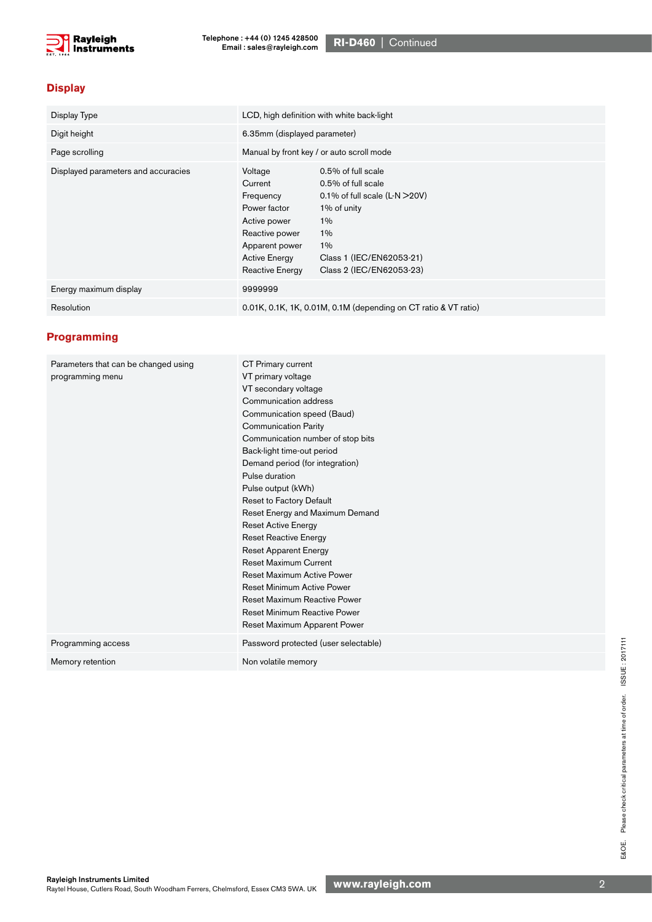

## **Display**

| Display Type                        | LCD, high definition with white back-light                                                                                                     |                                                                                                                                                                                |
|-------------------------------------|------------------------------------------------------------------------------------------------------------------------------------------------|--------------------------------------------------------------------------------------------------------------------------------------------------------------------------------|
| Digit height                        | 6.35mm (displayed parameter)                                                                                                                   |                                                                                                                                                                                |
| Page scrolling                      | Manual by front key / or auto scroll mode                                                                                                      |                                                                                                                                                                                |
| Displayed parameters and accuracies | Voltage<br>Current<br>Frequency<br>Power factor<br>Active power<br>Reactive power<br>Apparent power<br><b>Active Energy</b><br>Reactive Energy | 0.5% of full scale<br>0.5% of full scale<br>0.1% of full scale $(L-N > 20V)$<br>1% of unity<br>$1\%$<br>$1\%$<br>$1\%$<br>Class 1 (IEC/EN62053-21)<br>Class 2 (IEC/EN62053-23) |
| Energy maximum display              | 9999999                                                                                                                                        |                                                                                                                                                                                |
| Resolution                          | 0.01K, 0.1K, 1K, 0.01M, 0.1M (depending on CT ratio & VT ratio)                                                                                |                                                                                                                                                                                |

### **Programming**

| Parameters that can be changed using<br>programming menu | CT Primary current<br>VT primary voltage<br>VT secondary voltage<br>Communication address<br>Communication speed (Baud)<br><b>Communication Parity</b><br>Communication number of stop bits<br>Back-light time-out period<br>Demand period (for integration)<br>Pulse duration<br>Pulse output (kWh)<br>Reset to Factory Default<br>Reset Energy and Maximum Demand<br><b>Reset Active Energy</b><br><b>Reset Reactive Energy</b><br><b>Reset Apparent Energy</b><br><b>Reset Maximum Current</b><br>Reset Maximum Active Power |
|----------------------------------------------------------|---------------------------------------------------------------------------------------------------------------------------------------------------------------------------------------------------------------------------------------------------------------------------------------------------------------------------------------------------------------------------------------------------------------------------------------------------------------------------------------------------------------------------------|
|                                                          | <b>Reset Minimum Active Power</b>                                                                                                                                                                                                                                                                                                                                                                                                                                                                                               |
|                                                          | Reset Maximum Reactive Power<br>Reset Minimum Reactive Power                                                                                                                                                                                                                                                                                                                                                                                                                                                                    |
|                                                          | Reset Maximum Apparent Power                                                                                                                                                                                                                                                                                                                                                                                                                                                                                                    |
| Programming access                                       | Password protected (user selectable)                                                                                                                                                                                                                                                                                                                                                                                                                                                                                            |
| Memory retention                                         | Non volatile memory                                                                                                                                                                                                                                                                                                                                                                                                                                                                                                             |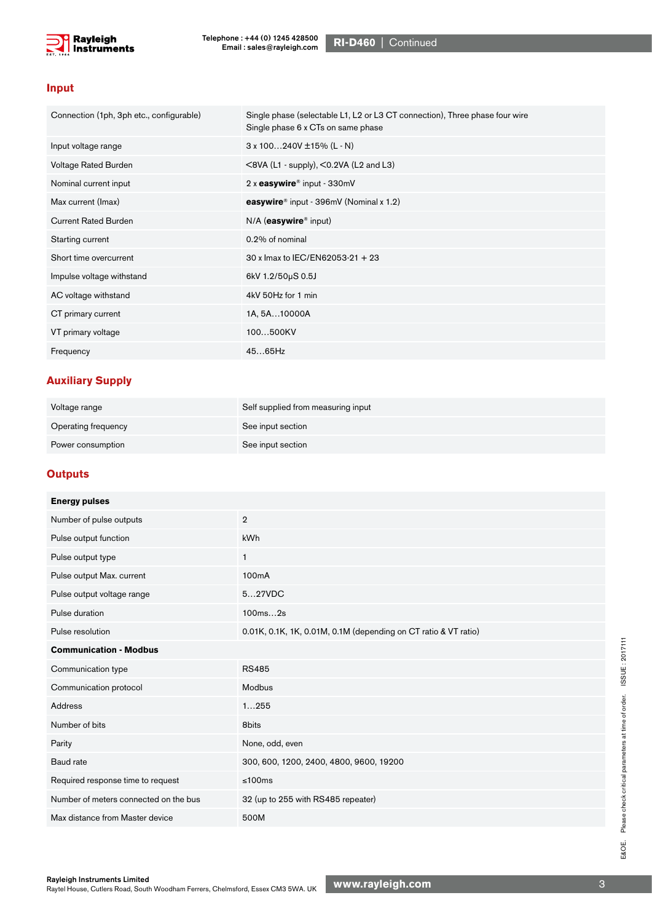

#### **Input**

| Connection (1ph, 3ph etc., configurable) | Single phase (selectable L1, L2 or L3 CT connection), Three phase four wire<br>Single phase 6 x CTs on same phase |
|------------------------------------------|-------------------------------------------------------------------------------------------------------------------|
| Input voltage range                      | $3 \times 100240V \pm 15\% (L-N)$                                                                                 |
| Voltage Rated Burden                     | $\leq$ 8VA (L1 - supply), $\leq$ 0.2VA (L2 and L3)                                                                |
| Nominal current input                    | 2 x easywire® input - 330mV                                                                                       |
| Max current (Imax)                       | easywire <sup>®</sup> input - 396mV (Nominal x 1.2)                                                               |
| <b>Current Rated Burden</b>              | $N/A$ (easywire <sup>®</sup> input)                                                                               |
| Starting current                         | 0.2% of nominal                                                                                                   |
| Short time overcurrent                   | 30 x lmax to IEC/EN62053-21 + 23                                                                                  |
| Impulse voltage withstand                | 6kV 1.2/50µS 0.5J                                                                                                 |
| AC voltage withstand                     | 4kV 50Hz for 1 min                                                                                                |
| CT primary current                       | 1A, 5A10000A                                                                                                      |
| VT primary voltage                       | 100500KV                                                                                                          |
| Frequency                                | $4565$ Hz                                                                                                         |

## **Auxiliary Supply**

| Voltage range       | Self supplied from measuring input |
|---------------------|------------------------------------|
| Operating frequency | See input section                  |
| Power consumption   | See input section                  |

## **Outputs**

| <b>Energy pulses</b>                  |                                                                 |  |
|---------------------------------------|-----------------------------------------------------------------|--|
| Number of pulse outputs               | $\overline{2}$                                                  |  |
| Pulse output function                 | <b>kWh</b>                                                      |  |
| Pulse output type                     | $\mathbf{1}$                                                    |  |
| Pulse output Max. current             | 100 <sub>m</sub> A                                              |  |
| Pulse output voltage range            | 527VDC                                                          |  |
| Pulse duration                        | 100ms2s                                                         |  |
| Pulse resolution                      | 0.01K, 0.1K, 1K, 0.01M, 0.1M (depending on CT ratio & VT ratio) |  |
| <b>Communication - Modbus</b>         |                                                                 |  |
| Communication type                    | <b>RS485</b>                                                    |  |
| Communication protocol                | Modbus                                                          |  |
| Address                               | 1255                                                            |  |
| Number of bits                        | 8bits                                                           |  |
| Parity                                | None, odd, even                                                 |  |
| Baud rate                             | 300, 600, 1200, 2400, 4800, 9600, 19200                         |  |
| Required response time to request     | ≤100ms                                                          |  |
| Number of meters connected on the bus | 32 (up to 255 with RS485 repeater)                              |  |
| Max distance from Master device       | 500M                                                            |  |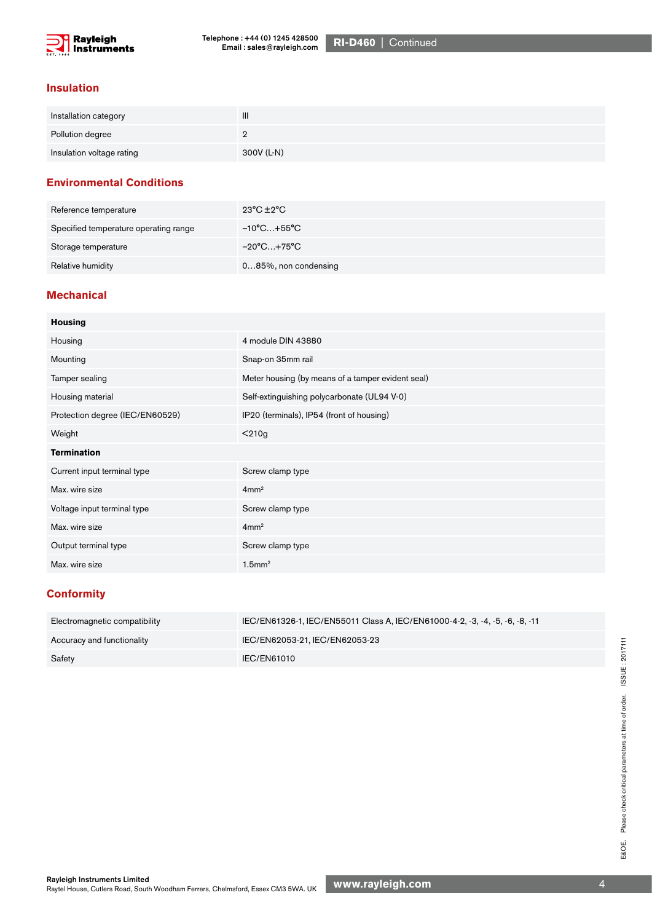

#### **Insulation**

| Installation category     | $\mathbf{III}$ |
|---------------------------|----------------|
| Pollution degree          | ∸              |
| Insulation voltage rating | 300V (L-N)     |

### **Environmental Conditions**

| Reference temperature                 | 23°C ±2°C            |
|---------------------------------------|----------------------|
| Specified temperature operating range | −10°C…+55°C          |
| Storage temperature                   | $-20^{\circ}$ C+75°C |
| Relative humidity                     | 085%, non condensing |

### **Mechanical**

| <b>Housing</b>                  |                                                   |
|---------------------------------|---------------------------------------------------|
| Housing                         | 4 module DIN 43880                                |
| Mounting                        | Snap-on 35mm rail                                 |
| Tamper sealing                  | Meter housing (by means of a tamper evident seal) |
| Housing material                | Self-extinguishing polycarbonate (UL94 V-0)       |
| Protection degree (IEC/EN60529) | IP20 (terminals), IP54 (front of housing)         |
| Weight                          | $210g$                                            |
| <b>Termination</b>              |                                                   |
| Current input terminal type     | Screw clamp type                                  |
| Max. wire size                  | 4mm <sup>2</sup>                                  |
| Voltage input terminal type     | Screw clamp type                                  |
| Max. wire size                  | 4mm <sup>2</sup>                                  |
| Output terminal type            | Screw clamp type                                  |
| Max. wire size                  | $1.5$ mm <sup>2</sup>                             |
|                                 |                                                   |

#### **Conformity**

| Electromagnetic compatibility | IEC/EN61326-1, IEC/EN55011 Class A, IEC/EN61000-4-2, -3, -4, -5, -6, -8, -11 |
|-------------------------------|------------------------------------------------------------------------------|
| Accuracy and functionality    | IEC/EN62053-21, IEC/EN62053-23                                               |
| Safety                        | IEC/EN61010                                                                  |